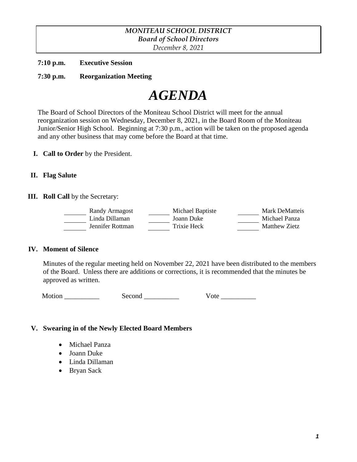# *MONITEAU SCHOOL DISTRICT Board of School Directors*

*December 8, 2021*

**7:10 p.m. Executive Session**

**7:30 p.m. Reorganization Meeting** 



The Board of School Directors of the Moniteau School District will meet for the annual reorganization session on Wednesday, December 8, 2021, in the Board Room of the Moniteau Junior/Senior High School. Beginning at 7:30 p.m., action will be taken on the proposed agenda and any other business that may come before the Board at that time.

**I. Call to Order** by the President.

### **II. Flag Salute**

**III. Roll Call** by the Secretary:

| Randy Armagost   | Michael Baptiste | <b>Mark DeMatteis</b> |
|------------------|------------------|-----------------------|
| Linda Dillaman   | Joann Duke       | Michael Panza         |
| Jennifer Rottman | Trixie Heck      | Matthew Zietz         |

### **IV. Moment of Silence**

Minutes of the regular meeting held on November 22, 2021 have been distributed to the members of the Board. Unless there are additions or corrections, it is recommended that the minutes be approved as written.

| Motion |  |
|--------|--|
|        |  |

| second |  |
|--------|--|
|        |  |

| Motion | second |  |
|--------|--------|--|
|--------|--------|--|

# **V. Swearing in of the Newly Elected Board Members**

- Michael Panza
- Joann Duke
- Linda Dillaman
- Bryan Sack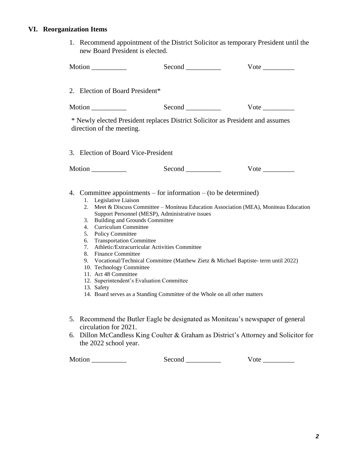# **VI. Reorganization Items**

1. Recommend appointment of the District Solicitor as temporary President until the new Board President is elected.

|        | Motion                                                                                                                                                                                                                                                                                                       |                                                                                                                                                                                                                                                    | $Vote$ <sub>____________</sub>                                                                                                                                               |
|--------|--------------------------------------------------------------------------------------------------------------------------------------------------------------------------------------------------------------------------------------------------------------------------------------------------------------|----------------------------------------------------------------------------------------------------------------------------------------------------------------------------------------------------------------------------------------------------|------------------------------------------------------------------------------------------------------------------------------------------------------------------------------|
|        | 2. Election of Board President*                                                                                                                                                                                                                                                                              |                                                                                                                                                                                                                                                    |                                                                                                                                                                              |
|        |                                                                                                                                                                                                                                                                                                              |                                                                                                                                                                                                                                                    |                                                                                                                                                                              |
|        | direction of the meeting.                                                                                                                                                                                                                                                                                    |                                                                                                                                                                                                                                                    | * Newly elected President replaces District Solicitor as President and assumes                                                                                               |
|        | 3. Election of Board Vice-President                                                                                                                                                                                                                                                                          |                                                                                                                                                                                                                                                    |                                                                                                                                                                              |
|        |                                                                                                                                                                                                                                                                                                              |                                                                                                                                                                                                                                                    | $Vote$ <sub>____________</sub>                                                                                                                                               |
|        | 1. Legislative Liaison<br>2.<br><b>Building and Grounds Committee</b><br>3.<br>Curriculum Committee<br>4.<br>5. Policy Committee<br>6. Transportation Committee<br>7.<br>8. Finance Committee<br>10. Technology Committee<br>11. Act 48 Committee<br>12. Superintendent's Evaluation Committee<br>13. Safety | 4. Committee appointments – for information – (to be determined)<br>Support Personnel (MESP), Administrative issues<br>Athletic/Extracurricular Activities Committee<br>14. Board serves as a Standing Committee of the Whole on all other matters | Meet & Discuss Committee - Moniteau Education Association (MEA), Moniteau Education<br>9. Vocational/Technical Committee (Matthew Zietz & Michael Baptiste- term until 2022) |
|        | circulation for 2021.                                                                                                                                                                                                                                                                                        |                                                                                                                                                                                                                                                    | 5. Recommend the Butler Eagle be designated as Moniteau's newspaper of general                                                                                               |
|        | the 2022 school year.                                                                                                                                                                                                                                                                                        |                                                                                                                                                                                                                                                    | 6. Dillon McCandless King Coulter & Graham as District's Attorney and Solicitor for                                                                                          |
| Motion |                                                                                                                                                                                                                                                                                                              | Second                                                                                                                                                                                                                                             | Vote                                                                                                                                                                         |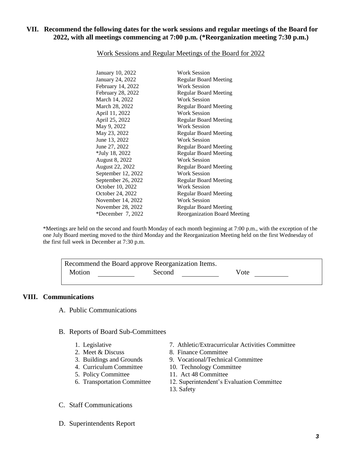### **VII. Recommend the following dates for the work sessions and regular meetings of the Board for 2022, with all meetings commencing at 7:00 p.m. (\*Reorganization meeting 7:30 p.m.)**

| January 10, 2022      | Work Session                        |
|-----------------------|-------------------------------------|
| January 24, 2022      | <b>Regular Board Meeting</b>        |
| February 14, 2022     | Work Session                        |
| February 28, 2022     | <b>Regular Board Meeting</b>        |
| March 14, 2022        | <b>Work Session</b>                 |
| March 28, 2022        | <b>Regular Board Meeting</b>        |
| April 11, 2022        | <b>Work Session</b>                 |
| April 25, 2022        | <b>Regular Board Meeting</b>        |
| May 9, 2022           | <b>Work Session</b>                 |
| May 23, 2022          | <b>Regular Board Meeting</b>        |
| June 13, 2022         | Work Session                        |
| June 27, 2022         | <b>Regular Board Meeting</b>        |
| *July 18, 2022        | <b>Regular Board Meeting</b>        |
| <b>August 8, 2022</b> | <b>Work Session</b>                 |
| August 22, 2022       | <b>Regular Board Meeting</b>        |
| September 12, 2022    | <b>Work Session</b>                 |
| September 26, 2022    | <b>Regular Board Meeting</b>        |
| October 10, 2022      | <b>Work Session</b>                 |
| October 24, 2022      | <b>Regular Board Meeting</b>        |
| November 14, 2022     | <b>Work Session</b>                 |
| November 28, 2022     | <b>Regular Board Meeting</b>        |
| *December $7,2022$    | <b>Reorganization Board Meeting</b> |

#### Work Sessions and Regular Meetings of the Board for 2022

\*Meetings are held on the second and fourth Monday of each month beginning at 7:00 p.m., with the exception of the one July Board meeting moved to the third Monday and the Reorganization Meeting held on the first Wednesday of the first full week in December at 7:30 p.m.

|        | Recommend the Board approve Reorganization Items. |      |  |
|--------|---------------------------------------------------|------|--|
| Motion | Second                                            | Vote |  |

#### **VIII. Communications**

A. Public Communications

#### B. Reports of Board Sub-Committees

- 
- 
- 
- 
- 5. Policy Committee 11. Act 48 Committee
- 
- 1. Legislative 7. Athletic/Extracurricular Activities Committee
- 2. Meet & Discuss 8. Finance Committee
- 3. Buildings and Grounds 9. Vocational/Technical Committee
- 4. Curriculum Committee 10. Technology Committee
	-
- 6. Transportation Committee 12. Superintendent's Evaluation Committee
	- 13. Safety
- C. Staff Communications
- D. Superintendents Report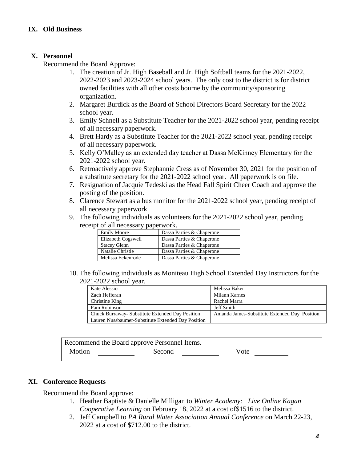# **X. Personnel**

Recommend the Board Approve:

- 1. The creation of Jr. High Baseball and Jr. High Softball teams for the 2021-2022, 2022-2023 and 2023-2024 school years. The only cost to the district is for district owned facilities with all other costs bourne by the community/sponsoring organization.
- 2. Margaret Burdick as the Board of School Directors Board Secretary for the 2022 school year.
- 3. Emily Schnell as a Substitute Teacher for the 2021-2022 school year, pending receipt of all necessary paperwork.
- 4. Brett Hardy as a Substitute Teacher for the 2021-2022 school year, pending receipt of all necessary paperwork.
- 5. Kelly O'Malley as an extended day teacher at Dassa McKinney Elementary for the 2021-2022 school year.
- 6. Retroactively approve Stephannie Cress as of November 30, 2021 for the position of a substitute secretary for the 2021-2022 school year. All paperwork is on file.
- 7. Resignation of Jacquie Tedeski as the Head Fall Spirit Cheer Coach and approve the posting of the position.
- 8. Clarence Stewart as a bus monitor for the 2021-2022 school year, pending receipt of all necessary paperwork.
- 9. The following individuals as volunteers for the 2021-2022 school year, pending receipt of all necessary paperwork.

| <b>Emily Moore</b>  | Dassa Parties & Chaperone |
|---------------------|---------------------------|
| Elizabeth Cogswell  | Dassa Parties & Chaperone |
| <b>Stacey Glenn</b> | Dassa Parties & Chaperone |
| Natalie Christie    | Dassa Parties & Chaperone |
| Melissa Eckenrode   | Dassa Parties & Chaperone |

10. The following individuals as Moniteau High School Extended Day Instructors for the 2021-2022 school year.

| Kate Alessio                                       | Melissa Baker                                 |
|----------------------------------------------------|-----------------------------------------------|
| Zach Hefferan                                      | Milann Karnes                                 |
| Christine King                                     | Rachel Marra                                  |
| Pam Robinson                                       | Jeff Smith                                    |
| Chuck Burraway - Substitute Extended Day Position  | Amanda James-Substitute Extended Day Position |
| Lauren Nussbaumer-Substitute Extended Day Position |                                               |

|        | Recommend the Board approve Personnel Items. |      |
|--------|----------------------------------------------|------|
| Motion | Second                                       | Vote |

# **XI. Conference Requests**

Recommend the Board approve:

- 1. Heather Baptiste & Danielle Milligan to *Winter Academy: Live Online Kagan Cooperative Learning* on February 18, 2022 at a cost of\$1516 to the district.
- 2. Jeff Campbell to *PA Rural Water Association Annual Conference* on March 22-23, 2022 at a cost of \$712.00 to the district.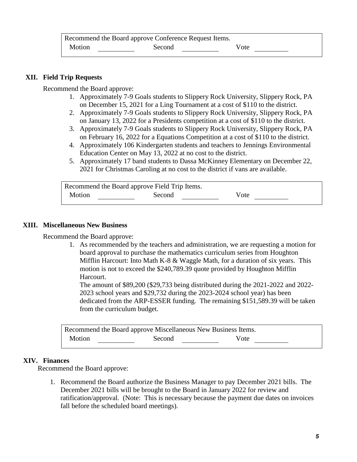# **XII. Field Trip Requests**

Recommend the Board approve:

- 1. Approximately 7-9 Goals students to Slippery Rock University, Slippery Rock, PA on December 15, 2021 for a Ling Tournament at a cost of \$110 to the district.
- 2. Approximately 7-9 Goals students to Slippery Rock University, Slippery Rock, PA on January 13, 2022 for a Presidents competition at a cost of \$110 to the district.
- 3. Approximately 7-9 Goals students to Slippery Rock University, Slippery Rock, PA on February 16, 2022 for a Equations Competition at a cost of \$110 to the district.
- 4. Approximately 106 Kindergarten students and teachers to Jennings Environmental Education Center on May 13, 2022 at no cost to the district.
- 5. Approximately 17 band students to Dassa McKinney Elementary on December 22, 2021 for Christmas Caroling at no cost to the district if vans are available.

|        | Recommend the Board approve Field Trip Items. |      |
|--------|-----------------------------------------------|------|
| Motion | Second                                        | Vote |

### **XIII. Miscellaneous New Business**

Recommend the Board approve:

1. As recommended by the teachers and administration, we are requesting a motion for board approval to purchase the mathematics curriculum series from Houghton Mifflin Harcourt: Into Math K-8  $\&$  Waggle Math, for a duration of six years. This motion is not to exceed the \$240,789.39 quote provided by Houghton Mifflin Harcourt.

The amount of \$89,200 (\$29,733 being distributed during the 2021-2022 and 2022- 2023 school years and \$29,732 during the 2023-2024 school year) has been dedicated from the ARP-ESSER funding. The remaining \$151,589.39 will be taken from the curriculum budget.

| Recommend the Board approve Miscellaneous New Business Items. |        |      |  |
|---------------------------------------------------------------|--------|------|--|
| <b>Motion</b>                                                 | Second | Vote |  |

### **XIV. Finances**

Recommend the Board approve:

1. Recommend the Board authorize the Business Manager to pay December 2021 bills. The December 2021 bills will be brought to the Board in January 2022 for review and ratification/approval. (Note: This is necessary because the payment due dates on invoices fall before the scheduled board meetings).